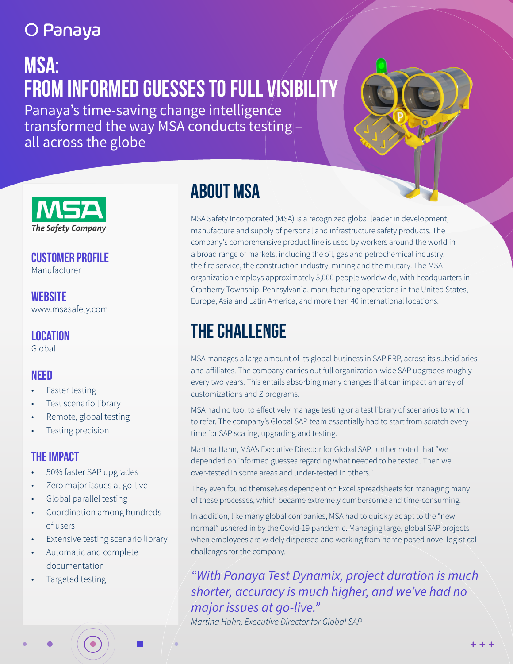### O Panaya

# **:MSA FROM INFORMED GUESSES TO FULL VISIBILITY**

Panaya's time-saving change intelligence transformed the way MSA conducts testing  $$ all across the globe



**CUSTOMER PROFILE** Manufacturer

**Website** www.msasafety.com

**Location** Global

#### **Need**

- Faster testing
- Test scenario library
- Remote, global testing
- Testing precision

#### **THE IMPACT**

- 50% faster SAP upgrades
- Zero major issues at go-live
- Global parallel testing
- Coordination among hundreds of users
- Extensive testing scenario library
- Automatic and complete documentation
- Targeted testing

### **ABOUT MSA**

MSA Safety Incorporated (MSA) is a recognized global leader in development, manufacture and supply of personal and infrastructure safety products. The company's comprehensive product line is used by workers around the world in a broad range of markets, including the oil, gas and petrochemical industry, the fire service, the construction industry, mining and the military. The MSA organization employs approximately 5,000 people worldwide, with headquarters in Cranberry Township, Pennsylvania, manufacturing operations in the United States, Europe, Asia and Latin America, and more than 40 international locations.

### **THE CHALLENGE**

MSA manages a large amount of its global business in SAP ERP, across its subsidiaries and affiliates. The company carries out full organization-wide SAP upgrades roughly every two years. This entails absorbing many changes that can impact an array of customizations and Z programs.

MSA had no tool to effectively manage testing or a test library of scenarios to which to refer. The company's Global SAP team essentially had to start from scratch every time for SAP scaling, upgrading and testing.

Martina Hahn, MSA's Executive Director for Global SAP, further noted that "we depended on informed guesses regarding what needed to be tested. Then we over-tested in some areas and under-tested in others."

They even found themselves dependent on Excel spreadsheets for managing many of these processes, which became extremely cumbersome and time-consuming.

In addition, like many global companies, MSA had to quickly adapt to the "new normal" ushered in by the Covid-19 pandemic. Managing large, global SAP projects when employees are widely dispersed and working from home posed novel logistical challenges for the company.

*"With Panaya Test Dynamix, project duration is much* shorter, accuracy is much higher, and we've had no *major issues at go-live.*"

Martina Hahn, Executive Director for Global SAP

 $+ + +$